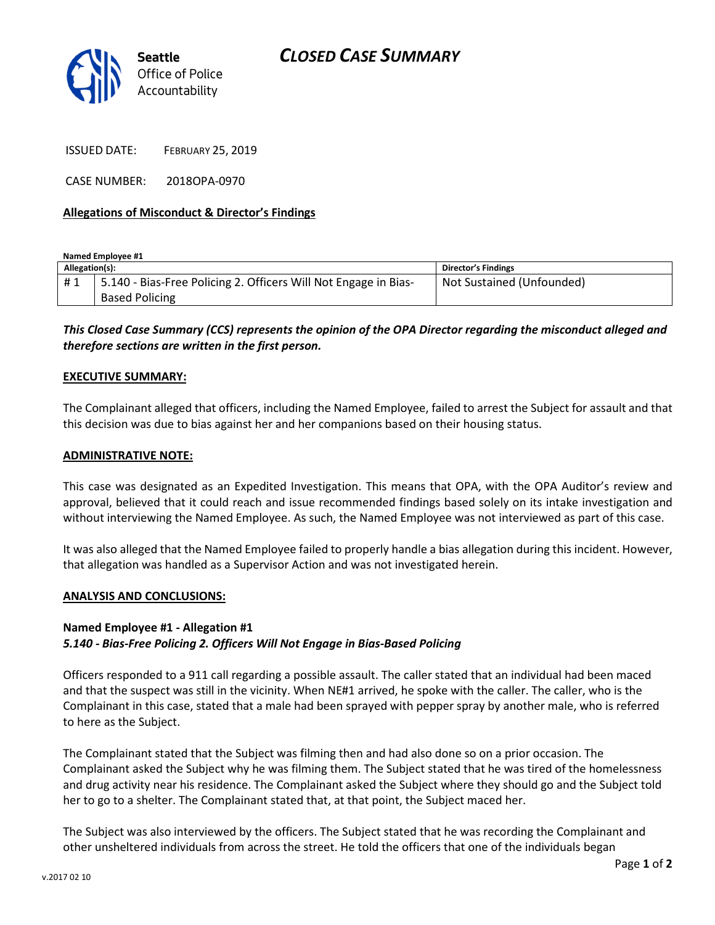

ISSUED DATE: FEBRUARY 25, 2019

CASE NUMBER: 2018OPA-0970

### Allegations of Misconduct & Director's Findings

Named Employee #1

| Allegation(s): |                                                                 | <b>Director's Findings</b> |
|----------------|-----------------------------------------------------------------|----------------------------|
| #1             | 5.140 - Bias-Free Policing 2. Officers Will Not Engage in Bias- | Not Sustained (Unfounded)  |
|                | <b>Based Policing</b>                                           |                            |

# This Closed Case Summary (CCS) represents the opinion of the OPA Director regarding the misconduct alleged and therefore sections are written in the first person.

#### EXECUTIVE SUMMARY:

The Complainant alleged that officers, including the Named Employee, failed to arrest the Subject for assault and that this decision was due to bias against her and her companions based on their housing status.

#### ADMINISTRATIVE NOTE:

This case was designated as an Expedited Investigation. This means that OPA, with the OPA Auditor's review and approval, believed that it could reach and issue recommended findings based solely on its intake investigation and without interviewing the Named Employee. As such, the Named Employee was not interviewed as part of this case.

It was also alleged that the Named Employee failed to properly handle a bias allegation during this incident. However, that allegation was handled as a Supervisor Action and was not investigated herein.

#### ANALYSIS AND CONCLUSIONS:

# Named Employee #1 - Allegation #1

# 5.140 - Bias-Free Policing 2. Officers Will Not Engage in Bias-Based Policing

Officers responded to a 911 call regarding a possible assault. The caller stated that an individual had been maced and that the suspect was still in the vicinity. When NE#1 arrived, he spoke with the caller. The caller, who is the Complainant in this case, stated that a male had been sprayed with pepper spray by another male, who is referred to here as the Subject.

The Complainant stated that the Subject was filming then and had also done so on a prior occasion. The Complainant asked the Subject why he was filming them. The Subject stated that he was tired of the homelessness and drug activity near his residence. The Complainant asked the Subject where they should go and the Subject told her to go to a shelter. The Complainant stated that, at that point, the Subject maced her.

The Subject was also interviewed by the officers. The Subject stated that he was recording the Complainant and other unsheltered individuals from across the street. He told the officers that one of the individuals began